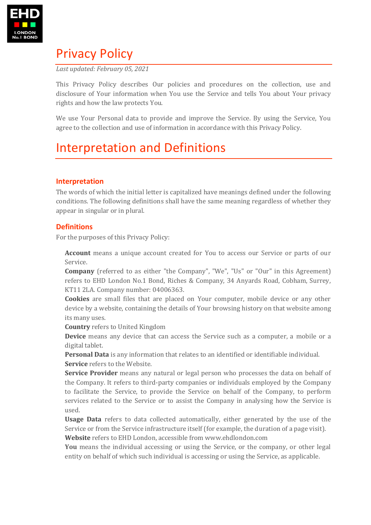

## Privacy Policy

*Last updated: February 05, 2021*

This Privacy Policy describes Our policies and procedures on the collection, use and disclosure of Your information when You use the Service and tells You about Your privacy rights and how the law protects You.

We use Your Personal data to provide and improve the Service. By using the Service, You agree to the collection and use of information in accordance with this Privacy Policy.

# Interpretation and Definitions

## **Interpretation**

The words of which the initial letter is capitalized have meanings defined under the following conditions. The following definitions shall have the same meaning regardless of whether they appear in singular or in plural.

### **Definitions**

For the purposes of this Privacy Policy:

**Account** means a unique account created for You to access our Service or parts of our Service.

**Company** (referred to as either "the Company", "We", "Us" or "Our" in this Agreement) refers to EHD London No.1 Bond, Riches & Company, 34 Anyards Road, Cobham, Surrey, KT11 2LA. Company number: 04006363.

**Cookies** are small files that are placed on Your computer, mobile device or any other device by a website, containing the details of Your browsing history on that website among its many uses.

**Country** refers to United Kingdom

**Device** means any device that can access the Service such as a computer, a mobile or a digital tablet.

**Personal Data** is any information that relates to an identified or identifiable individual. **Service** refers to the Website.

**Service Provider** means any natural or legal person who processes the data on behalf of the Company. It refers to third-party companies or individuals employed by the Company to facilitate the Service, to provide the Service on behalf of the Company, to perform services related to the Service or to assist the Company in analysing how the Service is used.

**Usage Data** refers to data collected automatically, either generated by the use of the Service or from the Service infrastructure itself (for example, the duration of a page visit). **Website** refers to EHD London, accessible from<www.ehdlondon.com>

**You** means the individual accessing or using the Service, or the company, or other legal entity on behalf of which such individual is accessing or using the Service, as applicable.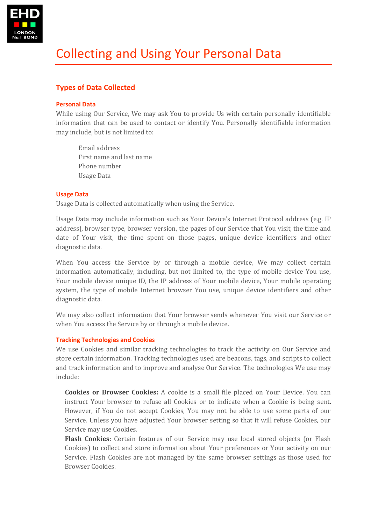

## **Types of Data Collected**

#### **Personal Data**

While using Our Service, We may ask You to provide Us with certain personally identifiable information that can be used to contact or identify You. Personally identifiable information may include, but is not limited to:

Email address First name and last name Phone number Usage Data

#### **Usage Data**

Usage Data is collected automatically when using the Service.

Usage Data may include information such as Your Device's Internet Protocol address (e.g. IP address), browser type, browser version, the pages of our Service that You visit, the time and date of Your visit, the time spent on those pages, unique device identifiers and other diagnostic data.

When You access the Service by or through a mobile device, We may collect certain information automatically, including, but not limited to, the type of mobile device You use, Your mobile device unique ID, the IP address of Your mobile device, Your mobile operating system, the type of mobile Internet browser You use, unique device identifiers and other diagnostic data.

We may also collect information that Your browser sends whenever You visit our Service or when You access the Service by or through a mobile device.

#### **Tracking Technologies and Cookies**

We use Cookies and similar tracking technologies to track the activity on Our Service and store certain information. Tracking technologies used are beacons, tags, and scripts to collect and track information and to improve and analyse Our Service. The technologies We use may include:

**Cookies or Browser Cookies:** A cookie is a small file placed on Your Device. You can instruct Your browser to refuse all Cookies or to indicate when a Cookie is being sent. However, if You do not accept Cookies, You may not be able to use some parts of our Service. Unless you have adjusted Your browser setting so that it will refuse Cookies, our Service may use Cookies.

**Flash Cookies:** Certain features of our Service may use local stored objects (or Flash Cookies) to collect and store information about Your preferences or Your activity on our Service. Flash Cookies are not managed by the same browser settings as those used for Browser Cookies.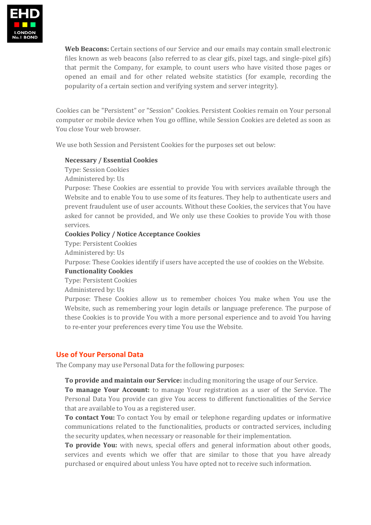

**Web Beacons:** Certain sections of our Service and our emails may contain small electronic files known as web beacons (also referred to as clear gifs, pixel tags, and single-pixel gifs) that permit the Company, for example, to count users who have visited those pages or opened an email and for other related website statistics (for example, recording the popularity of a certain section and verifying system and server integrity).

Cookies can be "Persistent" or "Session" Cookies. Persistent Cookies remain on Your personal computer or mobile device when You go offline, while Session Cookies are deleted as soon as You close Your web browser.

We use both Session and Persistent Cookies for the purposes set out below:

#### **Necessary / Essential Cookies**

Type: Session Cookies

Administered by: Us

Purpose: These Cookies are essential to provide You with services available through the Website and to enable You to use some of its features. They help to authenticate users and prevent fraudulent use of user accounts. Without these Cookies, the services that You have asked for cannot be provided, and We only use these Cookies to provide You with those services.

#### **Cookies Policy / Notice Acceptance Cookies**

Type: Persistent Cookies

Administered by: Us

Purpose: These Cookies identify if users have accepted the use of cookies on the Website.

#### **Functionality Cookies**

Type: Persistent Cookies

Administered by: Us

Purpose: These Cookies allow us to remember choices You make when You use the Website, such as remembering your login details or language preference. The purpose of these Cookies is to provide You with a more personal experience and to avoid You having to re-enter your preferences every time You use the Website.

#### **Use of Your Personal Data**

The Company may use Personal Data for the following purposes:

**To provide and maintain our Service:** including monitoring the usage of our Service.

**To manage Your Account:** to manage Your registration as a user of the Service. The Personal Data You provide can give You access to different functionalities of the Service that are available to You as a registered user.

**To contact You:** To contact You by email or telephone regarding updates or informative communications related to the functionalities, products or contracted services, including the security updates, when necessary or reasonable for their implementation.

**To provide You:** with news, special offers and general information about other goods, services and events which we offer that are similar to those that you have already purchased or enquired about unless You have opted not to receive such information.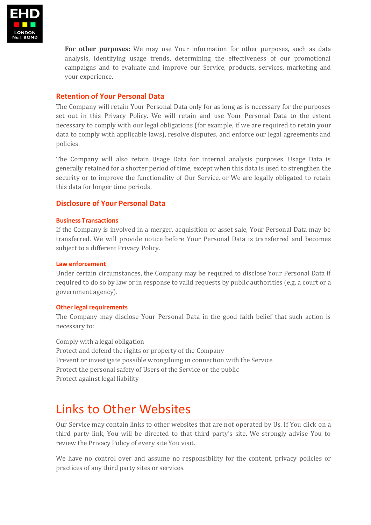

**For other purposes:** We may use Your information for other purposes, such as data analysis, identifying usage trends, determining the effectiveness of our promotional campaigns and to evaluate and improve our Service, products, services, marketing and your experience.

### **Retention of Your Personal Data**

The Company will retain Your Personal Data only for as long as is necessary for the purposes set out in this Privacy Policy. We will retain and use Your Personal Data to the extent necessary to comply with our legal obligations (for example, if we are required to retain your data to comply with applicable laws), resolve disputes, and enforce our legal agreements and policies.

The Company will also retain Usage Data for internal analysis purposes. Usage Data is generally retained for a shorter period of time, except when this data is used to strengthen the security or to improve the functionality of Our Service, or We are legally obligated to retain this data for longer time periods.

### **Disclosure of Your Personal Data**

#### **Business Transactions**

If the Company is involved in a merger, acquisition or asset sale, Your Personal Data may be transferred. We will provide notice before Your Personal Data is transferred and becomes subject to a different Privacy Policy.

#### **Law enforcement**

Under certain circumstances, the Company may be required to disclose Your Personal Data if required to do so by law or in response to valid requests by public authorities (e.g. a court or a government agency).

#### **Other legal requirements**

The Company may disclose Your Personal Data in the good faith belief that such action is necessary to:

Comply with a legal obligation Protect and defend the rights or property of the Company Prevent or investigate possible wrongdoing in connection with the Service Protect the personal safety of Users of the Service or the public Protect against legal liability

## Links to Other Websites

Our Service may contain links to other websites that are not operated by Us. If You click on a third party link, You will be directed to that third party's site. We strongly advise You to review the Privacy Policy of every site You visit.

We have no control over and assume no responsibility for the content, privacy policies or practices of any third party sites or services.